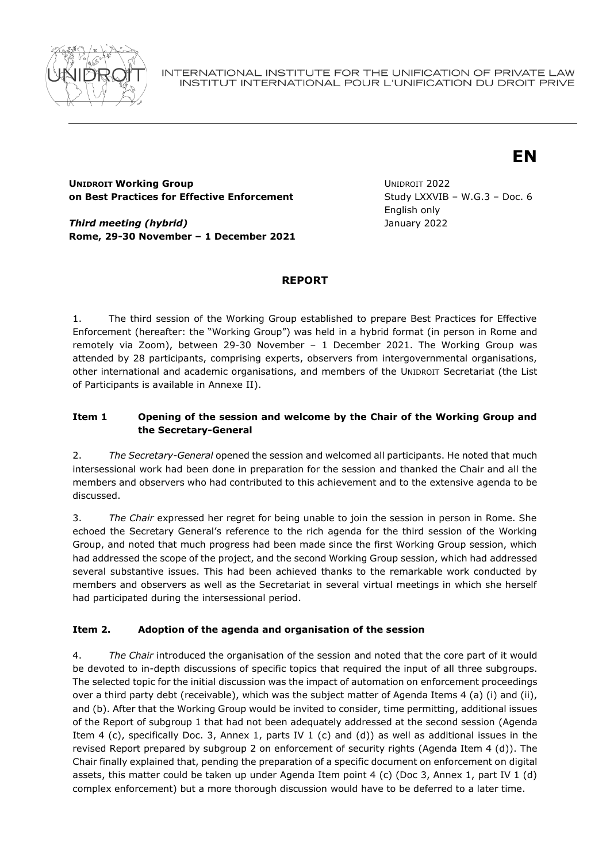

INTERNATIONAL INSTITUTE FOR THE UNIFICATION OF PRIVATE LAW INSTITUT INTERNATIONAL POUR L'UNIFICATION DU DROIT PRIVE

# **EN**

## **UNIDROIT Working Group on Best Practices for Effective Enforcement**

*Third meeting (hybrid)* **Rome, 29-30 November – 1 December 2021** UNIDROIT 2022 Study LXXVIB – W.G.3 – Doc. 6 English only January 2022

# **REPORT**

1. The third session of the Working Group established to prepare Best Practices for Effective Enforcement (hereafter: the "Working Group") was held in a hybrid format (in person in Rome and remotely via Zoom), between 29-30 November – 1 December 2021. The Working Group was attended by 28 participants, comprising experts, observers from intergovernmental organisations, other international and academic organisations, and members of the UNIDROIT Secretariat (the List of Participants is available in Annexe II).

# **Item 1 Opening of the session and welcome by the Chair of the Working Group and the Secretary-General**

2. *The Secretary-General* opened the session and welcomed all participants. He noted that much intersessional work had been done in preparation for the session and thanked the Chair and all the members and observers who had contributed to this achievement and to the extensive agenda to be discussed.

3. *The Chair* expressed her regret for being unable to join the session in person in Rome. She echoed the Secretary General's reference to the rich agenda for the third session of the Working Group, and noted that much progress had been made since the first Working Group session, which had addressed the scope of the project, and the second Working Group session, which had addressed several substantive issues. This had been achieved thanks to the remarkable work conducted by members and observers as well as the Secretariat in several virtual meetings in which she herself had participated during the intersessional period.

# **Item 2. Adoption of the agenda and organisation of the session**

4. *The Chair* introduced the organisation of the session and noted that the core part of it would be devoted to in-depth discussions of specific topics that required the input of all three subgroups. The selected topic for the initial discussion was the impact of automation on enforcement proceedings over a third party debt (receivable), which was the subject matter of Agenda Items 4 (a) (i) and (ii), and (b). After that the Working Group would be invited to consider, time permitting, additional issues of the Report of subgroup 1 that had not been adequately addressed at the second session (Agenda Item 4 (c), specifically Doc. 3, Annex 1, parts IV 1 (c) and (d)) as well as additional issues in the revised Report prepared by subgroup 2 on enforcement of security rights (Agenda Item 4 (d)). The Chair finally explained that, pending the preparation of a specific document on enforcement on digital assets, this matter could be taken up under Agenda Item point 4 (c) (Doc 3, Annex 1, part IV 1 (d) complex enforcement) but a more thorough discussion would have to be deferred to a later time.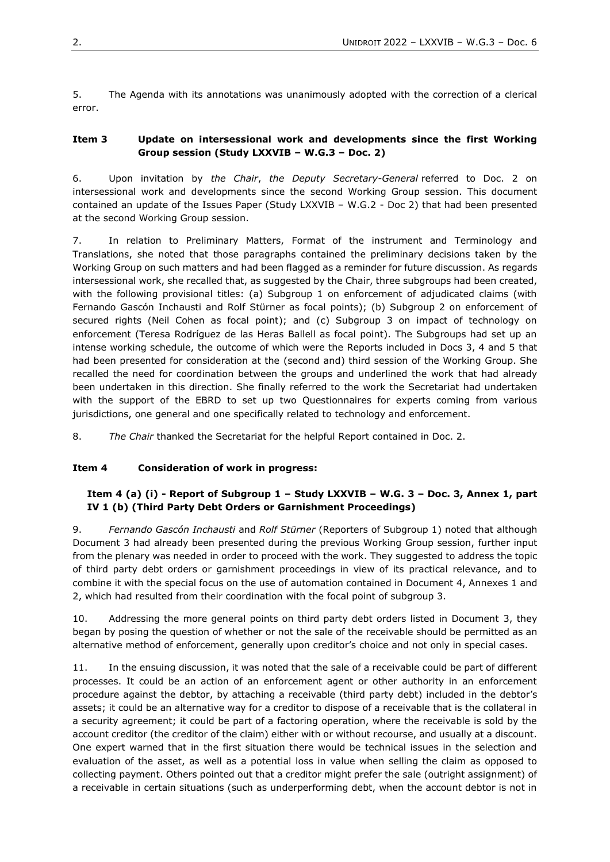5. The Agenda with its annotations was unanimously adopted with the correction of a clerical error.

#### **Item 3 Update on intersessional work and developments since the first Working Group session (Study LXXVIB – W.G.3 – Doc. 2)**

6. Upon invitation by *the Chair*, *the Deputy Secretary-General* referred to Doc. 2 on intersessional work and developments since the second Working Group session. This document contained an update of the Issues Paper (Study LXXVIB – W.G.2 - Doc 2) that had been presented at the second Working Group session.

7. In relation to Preliminary Matters, Format of the instrument and Terminology and Translations, she noted that those paragraphs contained the preliminary decisions taken by the Working Group on such matters and had been flagged as a reminder for future discussion. As regards intersessional work, she recalled that, as suggested by the Chair, three subgroups had been created, with the following provisional titles: (a) Subgroup 1 on enforcement of adjudicated claims (with Fernando Gascón Inchausti and Rolf Stürner as focal points); (b) Subgroup 2 on enforcement of secured rights (Neil Cohen as focal point); and (c) Subgroup 3 on impact of technology on enforcement (Teresa Rodríguez de las Heras Ballell as focal point). The Subgroups had set up an intense working schedule, the outcome of which were the Reports included in Docs 3, 4 and 5 that had been presented for consideration at the (second and) third session of the Working Group. She recalled the need for coordination between the groups and underlined the work that had already been undertaken in this direction. She finally referred to the work the Secretariat had undertaken with the support of the EBRD to set up two Questionnaires for experts coming from various jurisdictions, one general and one specifically related to technology and enforcement.

8. *The Chair* thanked the Secretariat for the helpful Report contained in Doc. 2.

#### **Item 4 Consideration of work in progress:**

#### **Item 4 (a) (i) - Report of Subgroup 1 – Study LXXVIB – W.G. 3 – Doc. 3, Annex 1, part IV 1 (b) (Third Party Debt Orders or Garnishment Proceedings)**

9. *Fernando Gascón Inchausti* and *Rolf Stürner* (Reporters of Subgroup 1) noted that although Document 3 had already been presented during the previous Working Group session, further input from the plenary was needed in order to proceed with the work. They suggested to address the topic of third party debt orders or garnishment proceedings in view of its practical relevance, and to combine it with the special focus on the use of automation contained in Document 4, Annexes 1 and 2, which had resulted from their coordination with the focal point of subgroup 3.

10. Addressing the more general points on third party debt orders listed in Document 3, they began by posing the question of whether or not the sale of the receivable should be permitted as an alternative method of enforcement, generally upon creditor's choice and not only in special cases.

11. In the ensuing discussion, it was noted that the sale of a receivable could be part of different processes. It could be an action of an enforcement agent or other authority in an enforcement procedure against the debtor, by attaching a receivable (third party debt) included in the debtor's assets; it could be an alternative way for a creditor to dispose of a receivable that is the collateral in a security agreement; it could be part of a factoring operation, where the receivable is sold by the account creditor (the creditor of the claim) either with or without recourse, and usually at a discount. One expert warned that in the first situation there would be technical issues in the selection and evaluation of the asset, as well as a potential loss in value when selling the claim as opposed to collecting payment. Others pointed out that a creditor might prefer the sale (outright assignment) of a receivable in certain situations (such as underperforming debt, when the account debtor is not in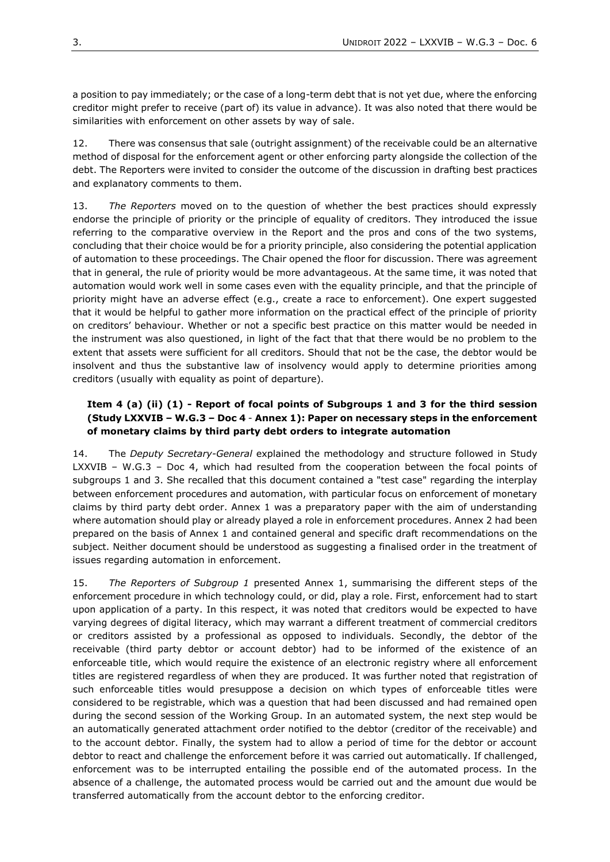a position to pay immediately; or the case of a long-term debt that is not yet due, where the enforcing creditor might prefer to receive (part of) its value in advance). It was also noted that there would be similarities with enforcement on other assets by way of sale.

12. There was consensus that sale (outright assignment) of the receivable could be an alternative method of disposal for the enforcement agent or other enforcing party alongside the collection of the debt. The Reporters were invited to consider the outcome of the discussion in drafting best practices and explanatory comments to them.

13. *The Reporters* moved on to the question of whether the best practices should expressly endorse the principle of priority or the principle of equality of creditors. They introduced the issue referring to the comparative overview in the Report and the pros and cons of the two systems, concluding that their choice would be for a priority principle, also considering the potential application of automation to these proceedings. The Chair opened the floor for discussion. There was agreement that in general, the rule of priority would be more advantageous. At the same time, it was noted that automation would work well in some cases even with the equality principle, and that the principle of priority might have an adverse effect (e.g., create a race to enforcement). One expert suggested that it would be helpful to gather more information on the practical effect of the principle of priority on creditors' behaviour. Whether or not a specific best practice on this matter would be needed in the instrument was also questioned, in light of the fact that that there would be no problem to the extent that assets were sufficient for all creditors. Should that not be the case, the debtor would be insolvent and thus the substantive law of insolvency would apply to determine priorities among creditors (usually with equality as point of departure).

## **Item 4 (a) (ii) (1) - Report of focal points of Subgroups 1 and 3 for the third session (Study LXXVIB – W.G.3 – Doc 4** - **Annex 1): Paper on necessary steps in the enforcement of monetary claims by third party debt orders to integrate automation**

14. The *Deputy Secretary-General* explained the methodology and structure followed in Study LXXVIB – W.G.3 – Doc 4, which had resulted from the cooperation between the focal points of subgroups 1 and 3. She recalled that this document contained a "test case" regarding the interplay between enforcement procedures and automation, with particular focus on enforcement of monetary claims by third party debt order. Annex 1 was a preparatory paper with the aim of understanding where automation should play or already played a role in enforcement procedures. Annex 2 had been prepared on the basis of Annex 1 and contained general and specific draft recommendations on the subject. Neither document should be understood as suggesting a finalised order in the treatment of issues regarding automation in enforcement.

15. *The Reporters of Subgroup 1* presented Annex 1, summarising the different steps of the enforcement procedure in which technology could, or did, play a role. First, enforcement had to start upon application of a party. In this respect, it was noted that creditors would be expected to have varying degrees of digital literacy, which may warrant a different treatment of commercial creditors or creditors assisted by a professional as opposed to individuals. Secondly, the debtor of the receivable (third party debtor or account debtor) had to be informed of the existence of an enforceable title, which would require the existence of an electronic registry where all enforcement titles are registered regardless of when they are produced. It was further noted that registration of such enforceable titles would presuppose a decision on which types of enforceable titles were considered to be registrable, which was a question that had been discussed and had remained open during the second session of the Working Group. In an automated system, the next step would be an automatically generated attachment order notified to the debtor (creditor of the receivable) and to the account debtor. Finally, the system had to allow a period of time for the debtor or account debtor to react and challenge the enforcement before it was carried out automatically. If challenged, enforcement was to be interrupted entailing the possible end of the automated process. In the absence of a challenge, the automated process would be carried out and the amount due would be transferred automatically from the account debtor to the enforcing creditor.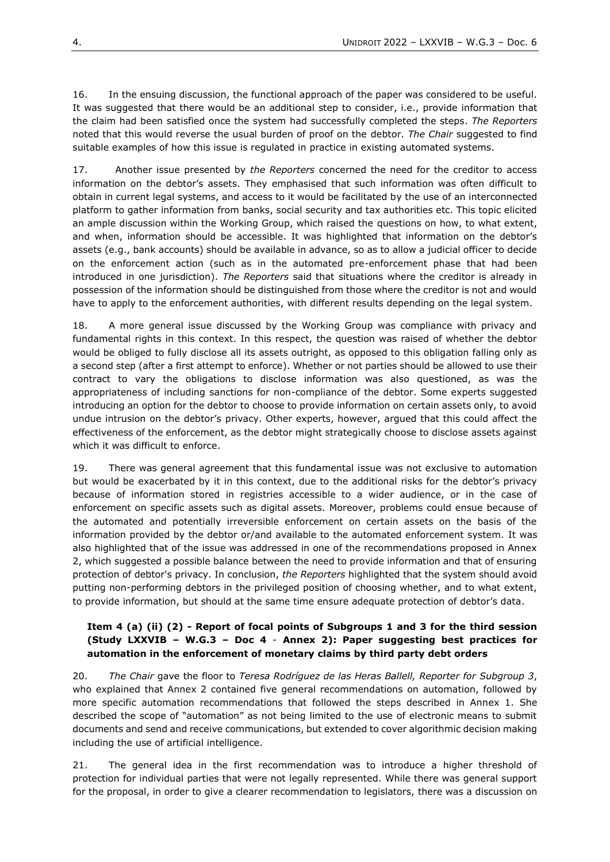16. In the ensuing discussion, the functional approach of the paper was considered to be useful. It was suggested that there would be an additional step to consider, i.e., provide information that the claim had been satisfied once the system had successfully completed the steps. *The Reporters* noted that this would reverse the usual burden of proof on the debtor. *The Chair* suggested to find suitable examples of how this issue is regulated in practice in existing automated systems.

17. Another issue presented by *the Reporters* concerned the need for the creditor to access information on the debtor's assets. They emphasised that such information was often difficult to obtain in current legal systems, and access to it would be facilitated by the use of an interconnected platform to gather information from banks, social security and tax authorities etc. This topic elicited an ample discussion within the Working Group, which raised the questions on how, to what extent, and when, information should be accessible. It was highlighted that information on the debtor's assets (e.g., bank accounts) should be available in advance, so as to allow a judicial officer to decide on the enforcement action (such as in the automated pre-enforcement phase that had been introduced in one jurisdiction). *The Reporters* said that situations where the creditor is already in possession of the information should be distinguished from those where the creditor is not and would have to apply to the enforcement authorities, with different results depending on the legal system.

18. A more general issue discussed by the Working Group was compliance with privacy and fundamental rights in this context. In this respect, the question was raised of whether the debtor would be obliged to fully disclose all its assets outright, as opposed to this obligation falling only as a second step (after a first attempt to enforce). Whether or not parties should be allowed to use their contract to vary the obligations to disclose information was also questioned, as was the appropriateness of including sanctions for non-compliance of the debtor. Some experts suggested introducing an option for the debtor to choose to provide information on certain assets only, to avoid undue intrusion on the debtor's privacy. Other experts, however, argued that this could affect the effectiveness of the enforcement, as the debtor might strategically choose to disclose assets against which it was difficult to enforce.

19. There was general agreement that this fundamental issue was not exclusive to automation but would be exacerbated by it in this context, due to the additional risks for the debtor's privacy because of information stored in registries accessible to a wider audience, or in the case of enforcement on specific assets such as digital assets. Moreover, problems could ensue because of the automated and potentially irreversible enforcement on certain assets on the basis of the information provided by the debtor or/and available to the automated enforcement system. It was also highlighted that of the issue was addressed in one of the recommendations proposed in Annex 2, which suggested a possible balance between the need to provide information and that of ensuring protection of debtor's privacy. In conclusion, *the Reporters* highlighted that the system should avoid putting non-performing debtors in the privileged position of choosing whether, and to what extent, to provide information, but should at the same time ensure adequate protection of debtor's data.

#### **Item 4 (a) (ii) (2) - Report of focal points of Subgroups 1 and 3 for the third session (Study LXXVIB – W.G.3 – Doc 4** - **Annex 2): Paper suggesting best practices for automation in the enforcement of monetary claims by third party debt orders**

20. *The Chair* gave the floor to *Teresa Rodríguez de las Heras Ballell, Reporter for Subgroup 3*, who explained that Annex 2 contained five general recommendations on automation, followed by more specific automation recommendations that followed the steps described in Annex 1. She described the scope of "automation" as not being limited to the use of electronic means to submit documents and send and receive communications, but extended to cover algorithmic decision making including the use of artificial intelligence.

21. The general idea in the first recommendation was to introduce a higher threshold of protection for individual parties that were not legally represented. While there was general support for the proposal, in order to give a clearer recommendation to legislators, there was a discussion on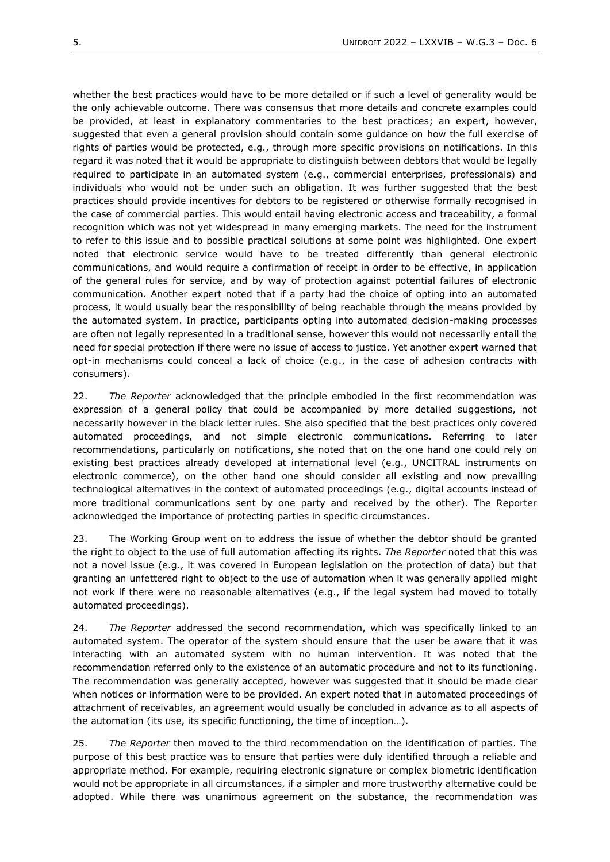whether the best practices would have to be more detailed or if such a level of generality would be the only achievable outcome. There was consensus that more details and concrete examples could be provided, at least in explanatory commentaries to the best practices; an expert, however, suggested that even a general provision should contain some guidance on how the full exercise of rights of parties would be protected, e.g., through more specific provisions on notifications. In this regard it was noted that it would be appropriate to distinguish between debtors that would be legally required to participate in an automated system (e.g., commercial enterprises, professionals) and individuals who would not be under such an obligation. It was further suggested that the best practices should provide incentives for debtors to be registered or otherwise formally recognised in the case of commercial parties. This would entail having electronic access and traceability, a formal recognition which was not yet widespread in many emerging markets. The need for the instrument to refer to this issue and to possible practical solutions at some point was highlighted. One expert noted that electronic service would have to be treated differently than general electronic communications, and would require a confirmation of receipt in order to be effective, in application of the general rules for service, and by way of protection against potential failures of electronic communication. Another expert noted that if a party had the choice of opting into an automated process, it would usually bear the responsibility of being reachable through the means provided by the automated system. In practice, participants opting into automated decision-making processes are often not legally represented in a traditional sense, however this would not necessarily entail the need for special protection if there were no issue of access to justice. Yet another expert warned that opt-in mechanisms could conceal a lack of choice (e.g., in the case of adhesion contracts with consumers).

22. *The Reporter* acknowledged that the principle embodied in the first recommendation was expression of a general policy that could be accompanied by more detailed suggestions, not necessarily however in the black letter rules. She also specified that the best practices only covered automated proceedings, and not simple electronic communications. Referring to later recommendations, particularly on notifications, she noted that on the one hand one could rely on existing best practices already developed at international level (e.g., UNCITRAL instruments on electronic commerce), on the other hand one should consider all existing and now prevailing technological alternatives in the context of automated proceedings (e.g., digital accounts instead of more traditional communications sent by one party and received by the other). The Reporter acknowledged the importance of protecting parties in specific circumstances.

23. The Working Group went on to address the issue of whether the debtor should be granted the right to object to the use of full automation affecting its rights. *The Reporter* noted that this was not a novel issue (e.g., it was covered in European legislation on the protection of data) but that granting an unfettered right to object to the use of automation when it was generally applied might not work if there were no reasonable alternatives (e.g., if the legal system had moved to totally automated proceedings).

24. *The Reporter* addressed the second recommendation, which was specifically linked to an automated system. The operator of the system should ensure that the user be aware that it was interacting with an automated system with no human intervention. It was noted that the recommendation referred only to the existence of an automatic procedure and not to its functioning. The recommendation was generally accepted, however was suggested that it should be made clear when notices or information were to be provided. An expert noted that in automated proceedings of attachment of receivables, an agreement would usually be concluded in advance as to all aspects of the automation (its use, its specific functioning, the time of inception…).

25. *The Reporter* then moved to the third recommendation on the identification of parties. The purpose of this best practice was to ensure that parties were duly identified through a reliable and appropriate method. For example, requiring electronic signature or complex biometric identification would not be appropriate in all circumstances, if a simpler and more trustworthy alternative could be adopted. While there was unanimous agreement on the substance, the recommendation was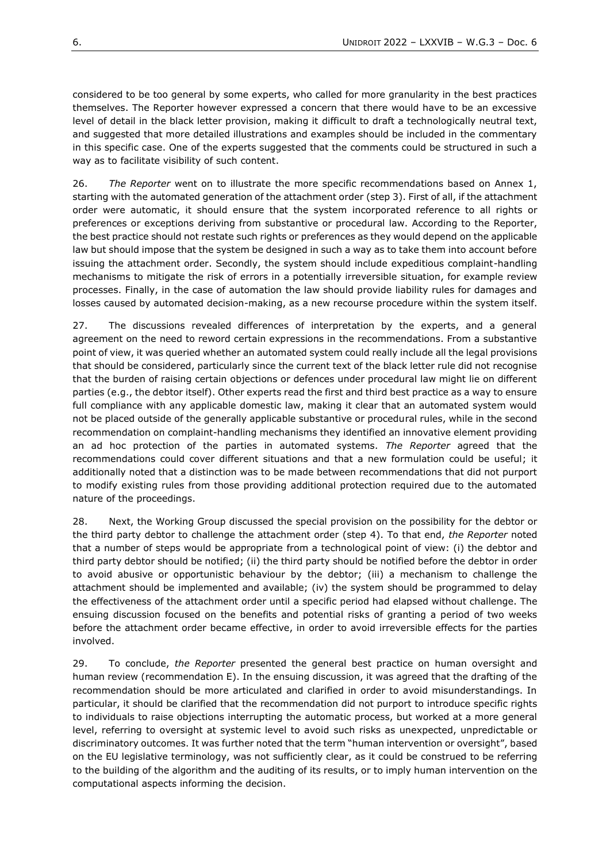considered to be too general by some experts, who called for more granularity in the best practices themselves. The Reporter however expressed a concern that there would have to be an excessive level of detail in the black letter provision, making it difficult to draft a technologically neutral text, and suggested that more detailed illustrations and examples should be included in the commentary in this specific case. One of the experts suggested that the comments could be structured in such a way as to facilitate visibility of such content.

26. *The Reporter* went on to illustrate the more specific recommendations based on Annex 1, starting with the automated generation of the attachment order (step 3). First of all, if the attachment order were automatic, it should ensure that the system incorporated reference to all rights or preferences or exceptions deriving from substantive or procedural law. According to the Reporter, the best practice should not restate such rights or preferences as they would depend on the applicable law but should impose that the system be designed in such a way as to take them into account before issuing the attachment order. Secondly, the system should include expeditious complaint-handling mechanisms to mitigate the risk of errors in a potentially irreversible situation, for example review processes. Finally, in the case of automation the law should provide liability rules for damages and losses caused by automated decision-making, as a new recourse procedure within the system itself.

27. The discussions revealed differences of interpretation by the experts, and a general agreement on the need to reword certain expressions in the recommendations. From a substantive point of view, it was queried whether an automated system could really include all the legal provisions that should be considered, particularly since the current text of the black letter rule did not recognise that the burden of raising certain objections or defences under procedural law might lie on different parties (e.g., the debtor itself). Other experts read the first and third best practice as a way to ensure full compliance with any applicable domestic law, making it clear that an automated system would not be placed outside of the generally applicable substantive or procedural rules, while in the second recommendation on complaint-handling mechanisms they identified an innovative element providing an ad hoc protection of the parties in automated systems. *The Reporter* agreed that the recommendations could cover different situations and that a new formulation could be useful; it additionally noted that a distinction was to be made between recommendations that did not purport to modify existing rules from those providing additional protection required due to the automated nature of the proceedings.

28. Next, the Working Group discussed the special provision on the possibility for the debtor or the third party debtor to challenge the attachment order (step 4). To that end, *the Reporter* noted that a number of steps would be appropriate from a technological point of view: (i) the debtor and third party debtor should be notified; (ii) the third party should be notified before the debtor in order to avoid abusive or opportunistic behaviour by the debtor; (iii) a mechanism to challenge the attachment should be implemented and available; (iv) the system should be programmed to delay the effectiveness of the attachment order until a specific period had elapsed without challenge. The ensuing discussion focused on the benefits and potential risks of granting a period of two weeks before the attachment order became effective, in order to avoid irreversible effects for the parties involved.

29. To conclude, *the Reporter* presented the general best practice on human oversight and human review (recommendation E). In the ensuing discussion, it was agreed that the drafting of the recommendation should be more articulated and clarified in order to avoid misunderstandings. In particular, it should be clarified that the recommendation did not purport to introduce specific rights to individuals to raise objections interrupting the automatic process, but worked at a more general level, referring to oversight at systemic level to avoid such risks as unexpected, unpredictable or discriminatory outcomes. It was further noted that the term "human intervention or oversight", based on the EU legislative terminology, was not sufficiently clear, as it could be construed to be referring to the building of the algorithm and the auditing of its results, or to imply human intervention on the computational aspects informing the decision.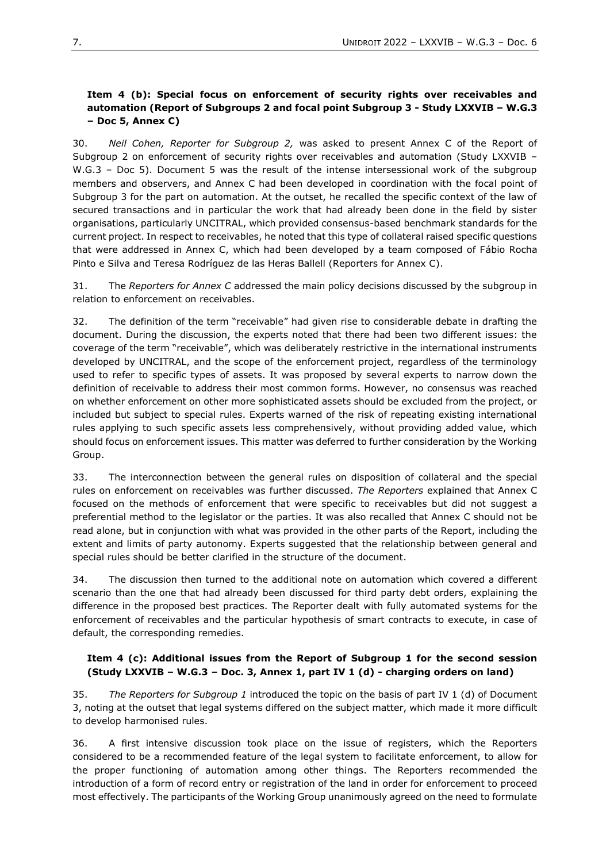## **Item 4 (b): Special focus on enforcement of security rights over receivables and automation (Report of Subgroups 2 and focal point Subgroup 3 - Study LXXVIB – W.G.3 – Doc 5, Annex C)**

30. *Neil Cohen, Reporter for Subgroup 2,* was asked to present Annex C of the Report of Subgroup 2 on enforcement of security rights over receivables and automation (Study LXXVIB – W.G.3 - Doc 5). Document 5 was the result of the intense intersessional work of the subgroup members and observers, and Annex C had been developed in coordination with the focal point of Subgroup 3 for the part on automation. At the outset, he recalled the specific context of the law of secured transactions and in particular the work that had already been done in the field by sister organisations, particularly UNCITRAL, which provided consensus-based benchmark standards for the current project. In respect to receivables, he noted that this type of collateral raised specific questions that were addressed in Annex C, which had been developed by a team composed of Fábio Rocha Pinto e Silva and Teresa Rodríguez de las Heras Ballell (Reporters for Annex C).

31. The *Reporters for Annex C* addressed the main policy decisions discussed by the subgroup in relation to enforcement on receivables.

32. The definition of the term "receivable" had given rise to considerable debate in drafting the document. During the discussion, the experts noted that there had been two different issues: the coverage of the term "receivable", which was deliberately restrictive in the international instruments developed by UNCITRAL, and the scope of the enforcement project, regardless of the terminology used to refer to specific types of assets. It was proposed by several experts to narrow down the definition of receivable to address their most common forms. However, no consensus was reached on whether enforcement on other more sophisticated assets should be excluded from the project, or included but subject to special rules. Experts warned of the risk of repeating existing international rules applying to such specific assets less comprehensively, without providing added value, which should focus on enforcement issues. This matter was deferred to further consideration by the Working Group.

33. The interconnection between the general rules on disposition of collateral and the special rules on enforcement on receivables was further discussed. *The Reporters* explained that Annex C focused on the methods of enforcement that were specific to receivables but did not suggest a preferential method to the legislator or the parties. It was also recalled that Annex C should not be read alone, but in conjunction with what was provided in the other parts of the Report, including the extent and limits of party autonomy. Experts suggested that the relationship between general and special rules should be better clarified in the structure of the document.

34. The discussion then turned to the additional note on automation which covered a different scenario than the one that had already been discussed for third party debt orders, explaining the difference in the proposed best practices. The Reporter dealt with fully automated systems for the enforcement of receivables and the particular hypothesis of smart contracts to execute, in case of default, the corresponding remedies.

#### **Item 4 (c): Additional issues from the Report of Subgroup 1 for the second session (Study LXXVIB – W.G.3 – Doc. 3, Annex 1, part IV 1 (d) - charging orders on land)**

35. *The Reporters for Subgroup 1* introduced the topic on the basis of part IV 1 (d) of Document 3, noting at the outset that legal systems differed on the subject matter, which made it more difficult to develop harmonised rules.

36. A first intensive discussion took place on the issue of registers, which the Reporters considered to be a recommended feature of the legal system to facilitate enforcement, to allow for the proper functioning of automation among other things. The Reporters recommended the introduction of a form of record entry or registration of the land in order for enforcement to proceed most effectively. The participants of the Working Group unanimously agreed on the need to formulate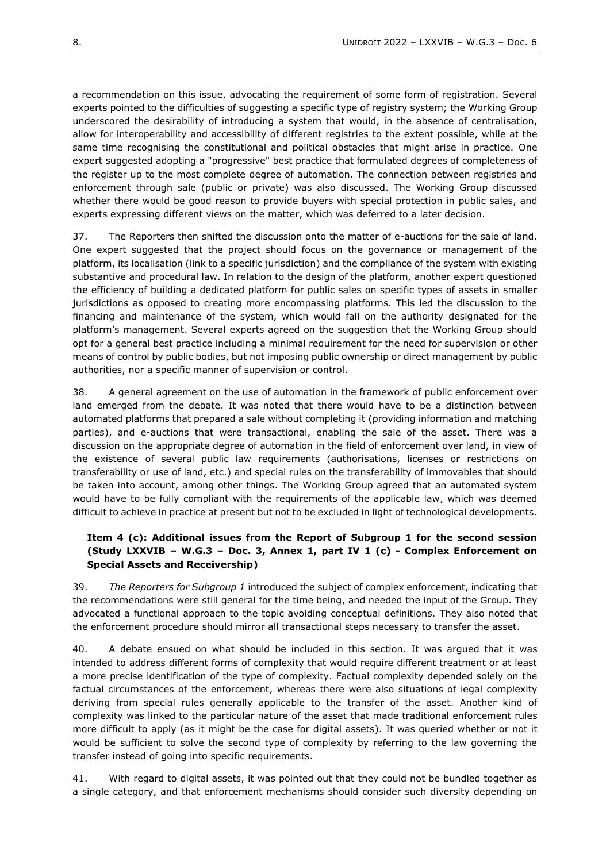a recommendation on this issue, advocating the requirement of some form of registration. Several experts pointed to the difficulties of suggesting a specific type of registry system; the Working Group underscored the desirability of introducing a system that would, in the absence of centralisation, allow for interoperability and accessibility of different registries to the extent possible, while at the same time recognising the constitutional and political obstacles that might arise in practice. One expert suggested adopting a "progressive" best practice that formulated degrees of completeness of the register up to the most complete degree of automation. The connection between registries and enforcement through sale (public or private) was also discussed. The Working Group discussed whether there would be good reason to provide buyers with special protection in public sales, and experts expressing different views on the matter, which was deferred to a later decision.

37. The Reporters then shifted the discussion onto the matter of e-auctions for the sale of land. One expert suggested that the project should focus on the governance or management of the platform, its localisation (link to a specific jurisdiction) and the compliance of the system with existing substantive and procedural law. In relation to the design of the platform, another expert questioned the efficiency of building a dedicated platform for public sales on specific types of assets in smaller jurisdictions as opposed to creating more encompassing platforms. This led the discussion to the financing and maintenance of the system, which would fall on the authority designated for the platform's management. Several experts agreed on the suggestion that the Working Group should opt for a general best practice including a minimal requirement for the need for supervision or other means of control by public bodies, but not imposing public ownership or direct management by public authorities, nor a specific manner of supervision or control.

38. A general agreement on the use of automation in the framework of public enforcement over land emerged from the debate. It was noted that there would have to be a distinction between automated platforms that prepared a sale without completing it (providing information and matching parties), and e-auctions that were transactional, enabling the sale of the asset. There was a discussion on the appropriate degree of automation in the field of enforcement over land, in view of the existence of several public law requirements (authorisations, licenses or restrictions on transferability or use of land, etc.) and special rules on the transferability of immovables that should be taken into account, among other things. The Working Group agreed that an automated system would have to be fully compliant with the requirements of the applicable law, which was deemed difficult to achieve in practice at present but not to be excluded in light of technological developments.

## **Item 4 (c): Additional issues from the Report of Subgroup 1 for the second session (Study LXXVIB – W.G.3 – Doc. 3, Annex 1, part IV 1 (c) - Complex Enforcement on Special Assets and Receivership)**

39. *The Reporters for Subgroup 1* introduced the subject of complex enforcement, indicating that the recommendations were still general for the time being, and needed the input of the Group. They advocated a functional approach to the topic avoiding conceptual definitions. They also noted that the enforcement procedure should mirror all transactional steps necessary to transfer the asset.

40. A debate ensued on what should be included in this section. It was argued that it was intended to address different forms of complexity that would require different treatment or at least a more precise identification of the type of complexity. Factual complexity depended solely on the factual circumstances of the enforcement, whereas there were also situations of legal complexity deriving from special rules generally applicable to the transfer of the asset. Another kind of complexity was linked to the particular nature of the asset that made traditional enforcement rules more difficult to apply (as it might be the case for digital assets). It was queried whether or not it would be sufficient to solve the second type of complexity by referring to the law governing the transfer instead of going into specific requirements.

41. With regard to digital assets, it was pointed out that they could not be bundled together as a single category, and that enforcement mechanisms should consider such diversity depending on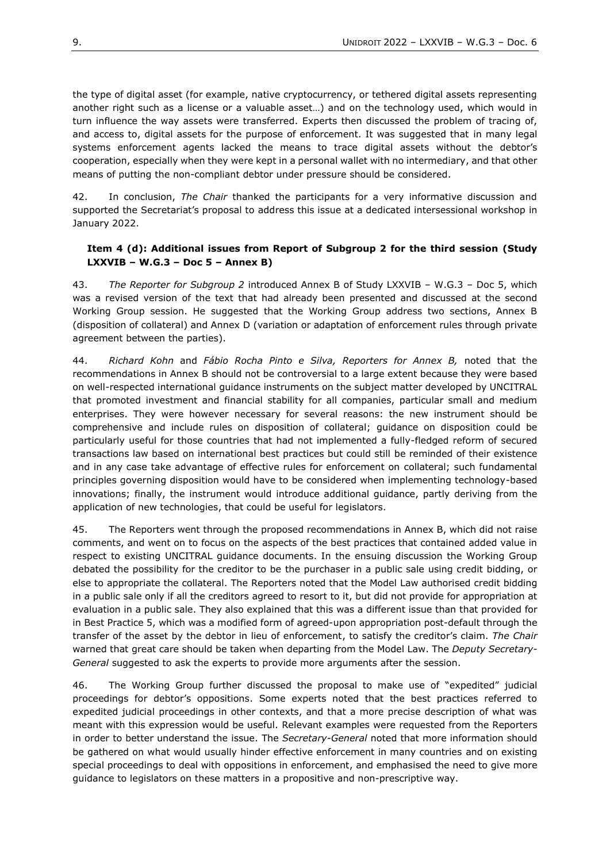the type of digital asset (for example, native cryptocurrency, or tethered digital assets representing another right such as a license or a valuable asset…) and on the technology used, which would in turn influence the way assets were transferred. Experts then discussed the problem of tracing of, and access to, digital assets for the purpose of enforcement. It was suggested that in many legal systems enforcement agents lacked the means to trace digital assets without the debtor's cooperation, especially when they were kept in a personal wallet with no intermediary, and that other means of putting the non-compliant debtor under pressure should be considered.

42. In conclusion, *The Chair* thanked the participants for a very informative discussion and supported the Secretariat's proposal to address this issue at a dedicated intersessional workshop in January 2022.

#### **Item 4 (d): Additional issues from Report of Subgroup 2 for the third session (Study LXXVIB – W.G.3 – Doc 5 – Annex B)**

43. *The Reporter for Subgroup 2* introduced Annex B of Study LXXVIB – W.G.3 – Doc 5, which was a revised version of the text that had already been presented and discussed at the second Working Group session. He suggested that the Working Group address two sections, Annex B (disposition of collateral) and Annex D (variation or adaptation of enforcement rules through private agreement between the parties).

44. *Richard Kohn* and *Fábio Rocha Pinto e Silva, Reporters for Annex B,* noted that the recommendations in Annex B should not be controversial to a large extent because they were based on well-respected international guidance instruments on the subject matter developed by UNCITRAL that promoted investment and financial stability for all companies, particular small and medium enterprises. They were however necessary for several reasons: the new instrument should be comprehensive and include rules on disposition of collateral; guidance on disposition could be particularly useful for those countries that had not implemented a fully-fledged reform of secured transactions law based on international best practices but could still be reminded of their existence and in any case take advantage of effective rules for enforcement on collateral; such fundamental principles governing disposition would have to be considered when implementing technology-based innovations; finally, the instrument would introduce additional guidance, partly deriving from the application of new technologies, that could be useful for legislators.

45. The Reporters went through the proposed recommendations in Annex B, which did not raise comments, and went on to focus on the aspects of the best practices that contained added value in respect to existing UNCITRAL guidance documents. In the ensuing discussion the Working Group debated the possibility for the creditor to be the purchaser in a public sale using credit bidding, or else to appropriate the collateral. The Reporters noted that the Model Law authorised credit bidding in a public sale only if all the creditors agreed to resort to it, but did not provide for appropriation at evaluation in a public sale. They also explained that this was a different issue than that provided for in Best Practice 5, which was a modified form of agreed-upon appropriation post-default through the transfer of the asset by the debtor in lieu of enforcement, to satisfy the creditor's claim. *The Chair* warned that great care should be taken when departing from the Model Law. The *Deputy Secretary-General* suggested to ask the experts to provide more arguments after the session.

46. The Working Group further discussed the proposal to make use of "expedited" judicial proceedings for debtor's oppositions. Some experts noted that the best practices referred to expedited judicial proceedings in other contexts, and that a more precise description of what was meant with this expression would be useful. Relevant examples were requested from the Reporters in order to better understand the issue. The *Secretary-General* noted that more information should be gathered on what would usually hinder effective enforcement in many countries and on existing special proceedings to deal with oppositions in enforcement, and emphasised the need to give more guidance to legislators on these matters in a propositive and non-prescriptive way.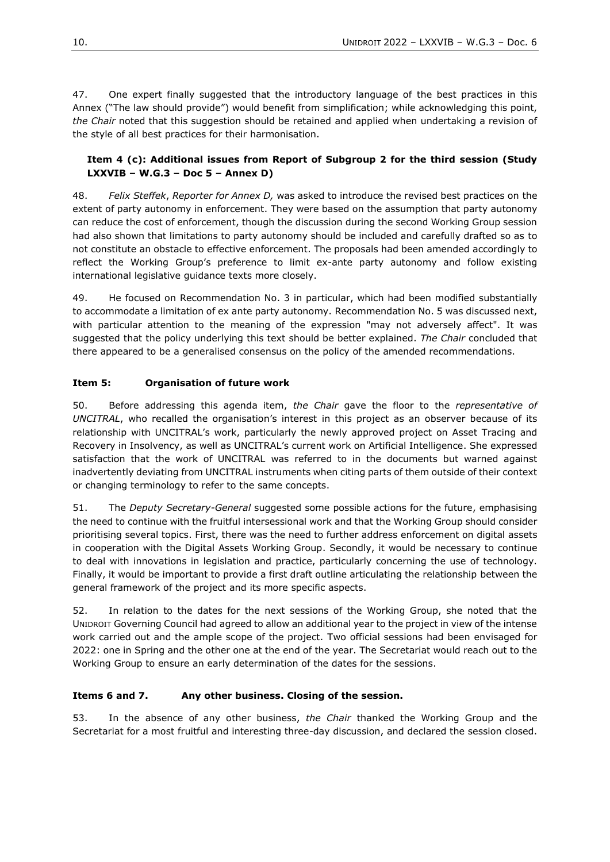47. One expert finally suggested that the introductory language of the best practices in this Annex ("The law should provide") would benefit from simplification; while acknowledging this point, *the Chair* noted that this suggestion should be retained and applied when undertaking a revision of the style of all best practices for their harmonisation.

# **Item 4 (c): Additional issues from Report of Subgroup 2 for the third session (Study LXXVIB – W.G.3 – Doc 5 – Annex D)**

48. *Felix Steffek*, *Reporter for Annex D,* was asked to introduce the revised best practices on the extent of party autonomy in enforcement. They were based on the assumption that party autonomy can reduce the cost of enforcement, though the discussion during the second Working Group session had also shown that limitations to party autonomy should be included and carefully drafted so as to not constitute an obstacle to effective enforcement. The proposals had been amended accordingly to reflect the Working Group's preference to limit ex-ante party autonomy and follow existing international legislative guidance texts more closely.

49. He focused on Recommendation No. 3 in particular, which had been modified substantially to accommodate a limitation of ex ante party autonomy. Recommendation No. 5 was discussed next, with particular attention to the meaning of the expression "may not adversely affect". It was suggested that the policy underlying this text should be better explained. *The Chair* concluded that there appeared to be a generalised consensus on the policy of the amended recommendations.

# **Item 5: Organisation of future work**

50. Before addressing this agenda item, *the Chair* gave the floor to the *representative of UNCITRAL*, who recalled the organisation's interest in this project as an observer because of its relationship with UNCITRAL's work, particularly the newly approved project on Asset Tracing and Recovery in Insolvency, as well as UNCITRAL's current work on Artificial Intelligence. She expressed satisfaction that the work of UNCITRAL was referred to in the documents but warned against inadvertently deviating from UNCITRAL instruments when citing parts of them outside of their context or changing terminology to refer to the same concepts.

51. The *Deputy Secretary-General* suggested some possible actions for the future, emphasising the need to continue with the fruitful intersessional work and that the Working Group should consider prioritising several topics. First, there was the need to further address enforcement on digital assets in cooperation with the Digital Assets Working Group. Secondly, it would be necessary to continue to deal with innovations in legislation and practice, particularly concerning the use of technology. Finally, it would be important to provide a first draft outline articulating the relationship between the general framework of the project and its more specific aspects.

52. In relation to the dates for the next sessions of the Working Group, she noted that the UNIDROIT Governing Council had agreed to allow an additional year to the project in view of the intense work carried out and the ample scope of the project. Two official sessions had been envisaged for 2022: one in Spring and the other one at the end of the year. The Secretariat would reach out to the Working Group to ensure an early determination of the dates for the sessions.

# **Items 6 and 7. Any other business. Closing of the session.**

53. In the absence of any other business, *the Chair* thanked the Working Group and the Secretariat for a most fruitful and interesting three-day discussion, and declared the session closed.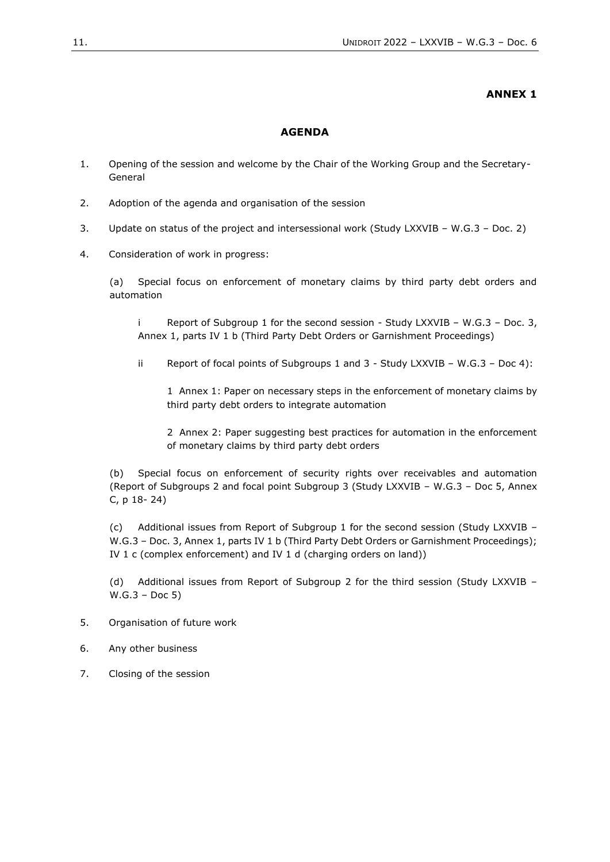#### **ANNEX 1**

#### **AGENDA**

- 1. Opening of the session and welcome by the Chair of the Working Group and the Secretary-General
- 2. Adoption of the agenda and organisation of the session
- 3. Update on status of the project and intersessional work (Study LXXVIB W.G.3 Doc. 2)
- 4. Consideration of work in progress:

(a) Special focus on enforcement of monetary claims by third party debt orders and automation

i Report of Subgroup 1 for the second session - Study LXXVIB – W.G.3 – Doc. 3, Annex 1, parts IV 1 b (Third Party Debt Orders or Garnishment Proceedings)

ii Report of focal points of Subgroups 1 and 3 - Study LXXVIB – W.G.3 – Doc 4):

1 Annex 1: Paper on necessary steps in the enforcement of monetary claims by third party debt orders to integrate automation

2 Annex 2: Paper suggesting best practices for automation in the enforcement of monetary claims by third party debt orders

(b) Special focus on enforcement of security rights over receivables and automation (Report of Subgroups 2 and focal point Subgroup 3 (Study LXXVIB – W.G.3 – Doc 5, Annex C, p 18- 24)

(c) Additional issues from Report of Subgroup 1 for the second session (Study LXXVIB – W.G.3 - Doc. 3, Annex 1, parts IV 1 b (Third Party Debt Orders or Garnishment Proceedings); IV 1 c (complex enforcement) and IV 1 d (charging orders on land))

(d) Additional issues from Report of Subgroup 2 for the third session (Study LXXVIB – W.G.3 – Doc 5)

- 5. Organisation of future work
- 6. Any other business
- 7. Closing of the session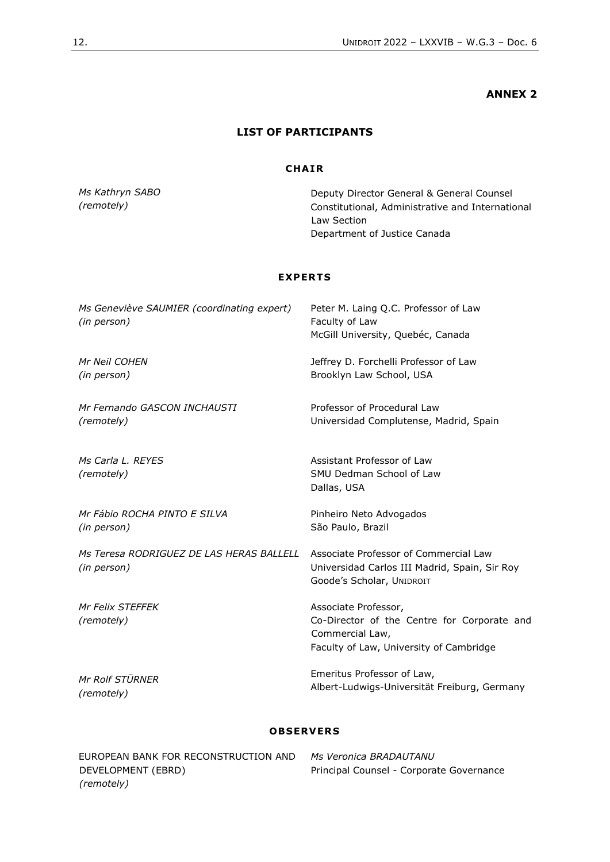# **ANNEX 2**

# **LIST OF PARTICIPANTS**

## **CHA IR**

*Ms Kathryn SABO (remotely)*

Deputy Director General & General Counsel Constitutional, Administrative and International Law Section Department of Justice Canada

## **EXPERTS**

| Ms Geneviève SAUMIER (coordinating expert)<br>(in person) | Peter M. Laing Q.C. Professor of Law<br>Faculty of Law<br>McGill University, Quebéc, Canada                                       |
|-----------------------------------------------------------|-----------------------------------------------------------------------------------------------------------------------------------|
| Mr Neil COHEN                                             | Jeffrey D. Forchelli Professor of Law                                                                                             |
| (in person)                                               | Brooklyn Law School, USA                                                                                                          |
| Mr Fernando GASCON INCHAUSTI                              | Professor of Procedural Law                                                                                                       |
| (remotely)                                                | Universidad Complutense, Madrid, Spain                                                                                            |
| Ms Carla L. REYES<br>(remotely)                           | Assistant Professor of Law<br>SMU Dedman School of Law<br>Dallas, USA                                                             |
| Mr Fábio ROCHA PINTO E SILVA                              | Pinheiro Neto Advogados                                                                                                           |
| (in person)                                               | São Paulo, Brazil                                                                                                                 |
| Ms Teresa RODRIGUEZ DE LAS HERAS BALLELL<br>(in person)   | Associate Professor of Commercial Law<br>Universidad Carlos III Madrid, Spain, Sir Roy<br>Goode's Scholar, UNIDROIT               |
| <b>Mr Felix STEFFEK</b><br>(remotely)                     | Associate Professor,<br>Co-Director of the Centre for Corporate and<br>Commercial Law,<br>Faculty of Law, University of Cambridge |
| Mr Rolf STÜRNER                                           | Emeritus Professor of Law,                                                                                                        |
| (remotely)                                                | Albert-Ludwigs-Universität Freiburg, Germany                                                                                      |

## **OBSERVER S**

| EUROPEAN BANK FOR RECONSTRUCTION AND | Ms Veronica BRADAUTANU                   |
|--------------------------------------|------------------------------------------|
| DEVELOPMENT (EBRD)                   | Principal Counsel - Corporate Governance |
| (remotely)                           |                                          |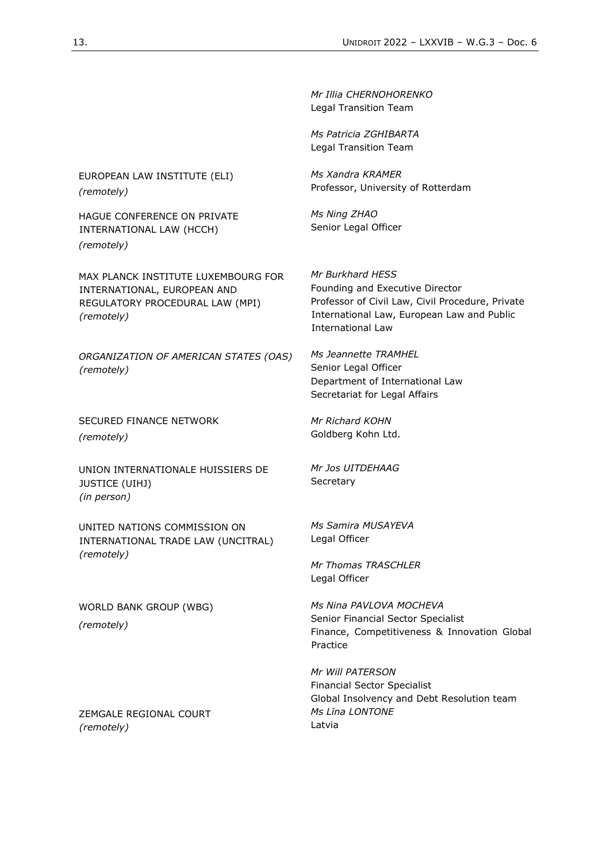*Mr Illia CHERNOHORENKO* Legal Transition Team

*Ms Patricia ZGHIBARTA* Legal Transition Team

*Ms Xandra KRAMER* Professor, University of Rotterdam

*Ms Ning ZHAO*  Senior Legal Officer

*Mr Burkhard HESS*  Founding and Executive Director Professor of Civil Law, Civil Procedure, Private International Law, European Law and Public International Law

*Ms Jeannette TRAMHEL* Senior Legal Officer Department of International Law Secretariat for Legal Affairs

*Mr Richard KOHN* Goldberg Kohn Ltd.

*Mr Jos UITDEHAAG* **Secretary** 

*Ms Samira MUSAYEVA* Legal Officer

*Mr Thomas TRASCHLER*  Legal Officer

*Ms Nina PAVLOVA MOCHEVA* Senior Financial Sector Specialist Finance, Competitiveness & Innovation Global Practice

*Mr Will PATERSON* Financial Sector Specialist Global Insolvency and Debt Resolution team *Ms Līna LONTONE* Latvia

EUROPEAN LAW INSTITUTE (ELI) *(remotely)*

HAGUE CONFERENCE ON PRIVATE INTERNATIONAL LAW (HCCH) *(remotely)*

MAX PLANCK INSTITUTE LUXEMBOURG FOR INTERNATIONAL, EUROPEAN AND REGULATORY PROCEDURAL LAW (MPI) *(remotely)*

*ORGANIZATION OF AMERICAN STATES (OAS) (remotely)* 

SECURED FINANCE NETWORK *(remotely)*

UNION INTERNATIONALE HUISSIERS DE JUSTICE (UIHJ) *(in person)*

UNITED NATIONS COMMISSION ON INTERNATIONAL TRADE LAW (UNCITRAL) *(remotely)*

WORLD BANK GROUP (WBG) *(remotely)*

ZEMGALE REGIONAL COURT *(remotely)*